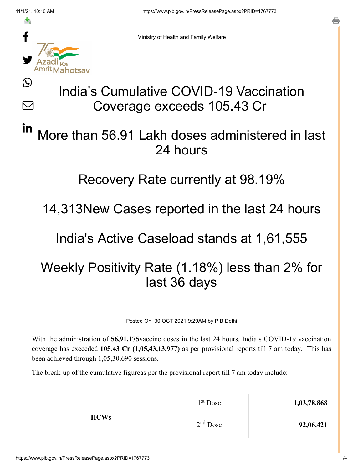≛

Ŀ

 $\bm{\nabla}$ 

in



Ministry of Health and Family Welfare

# India's Cumulative COVID-19 Vaccination Coverage exceeds 105.43 Cr

### More than 56.91 Lakh doses administered in last 24 hours

#### Recovery Rate currently at 98.19%

### 14,313New Cases reported in the last 24 hours

#### India's Active Caseload stands at 1,61,555

## Weekly Positivity Rate (1.18%) less than 2% for last 36 days

Posted On: 30 OCT 2021 9:29AM by PIB Delhi

With the administration of **56,91,175**vaccine doses in the last 24 hours, India's COVID-19 vaccination coverage has exceeded **105.43 Cr (1,05,43,13,977)** as per provisional reports till 7 am today. This has been achieved through 1,05,30,690 sessions.

The break-up of the cumulative figureas per the provisional report till 7 am today include:

| <b>HCWs</b> | 1 <sup>st</sup> Dose | 1,03,78,868 |
|-------------|----------------------|-------------|
|             | $2nd$ Dose           | 92,06,421   |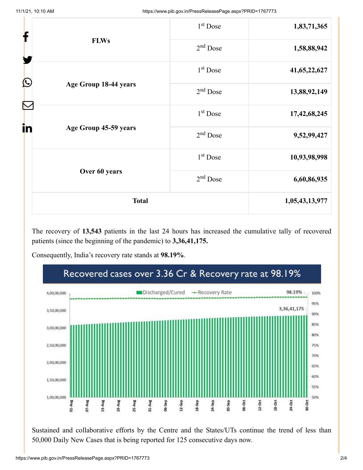|    |                       | $1st$ Dose           | 1,83,71,365    |
|----|-----------------------|----------------------|----------------|
|    | <b>FLWs</b>           | $2nd$ Dose           | 1,58,88,942    |
|    |                       | 1 <sup>st</sup> Dose | 41,65,22,627   |
| Ŀ  | Age Group 18-44 years | $2nd$ Dose           | 13,88,92,149   |
| N  |                       | $1st$ Dose           | 17,42,68,245   |
| in | Age Group 45-59 years | $2nd$ Dose           | 9,52,99,427    |
|    |                       | $1st$ Dose           | 10,93,98,998   |
|    | Over 60 years         | $2nd$ Dose           | 6,60,86,935    |
|    | <b>Total</b>          |                      | 1,05,43,13,977 |

The recovery of **13,543** patients in the last 24 hours has increased the cumulative tally of recovered patients (since the beginning of the pandemic) to **3,36,41,175.**

Consequently, India's recovery rate stands at **98.19%**.



Sustained and collaborative efforts by the Centre and the States/UTs continue the trend of less than 50,000 Daily New Cases that is being reported for 125 consecutive days now.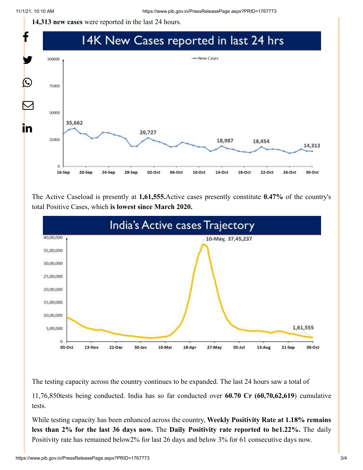**14,313 new cases** were reported in the last 24 hours.



The Active Caseload is presently at **1,61,555.**Active cases presently constitute **0.47%** of the country's total Positive Cases, which **is lowest since March 2020.**



The testing capacity across the country continues to be expanded. The last 24 hours saw a total of

11,76,850tests being conducted. India has so far conducted over **60.70 Cr (60,70,62,619**) cumulative tests.

While testing capacity has been enhanced across the country, **Weekly Positivity Rate at 1.18% remains less than 2% for the last 36 days now.** The **Daily Positivity rate reported to be1.22%.** The daily Positivity rate has remained below2% for last 26 days and below 3% for 61 consecutive days now.